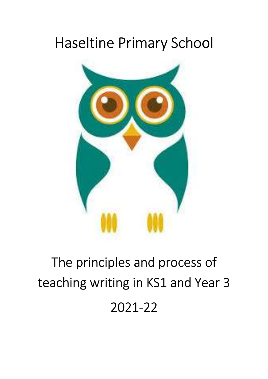## Haseltine Primary School



# The principles and process of teaching writing in KS1 and Year 3 2021-22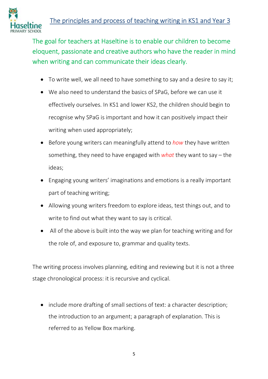

The goal for teachers at Haseltine is to enable our children to become eloquent, passionate and creative authors who have the reader in mind when writing and can communicate their ideas clearly.

- To write well, we all need to have something to say and a desire to say it;
- We also need to understand the basics of SPaG, before we can use it effectively ourselves. In KS1 and lower KS2, the children should begin to recognise why SPaG is important and how it can positively impact their writing when used appropriately;
- Before young writers can meaningfully attend to *how* they have written something, they need to have engaged with *what* they want to say – the ideas;
- Engaging young writers' imaginations and emotions is a really important part of teaching writing;
- Allowing young writers freedom to explore ideas, test things out, and to write to find out what they want to say is critical.
- All of the above is built into the way we plan for teaching writing and for the role of, and exposure to, grammar and quality texts.

The writing process involves planning, editing and reviewing but it is not a three stage chronological process: it is recursive and cyclical.

• include more drafting of small sections of text: a character description; the introduction to an argument; a paragraph of explanation. This is referred to as Yellow Box marking.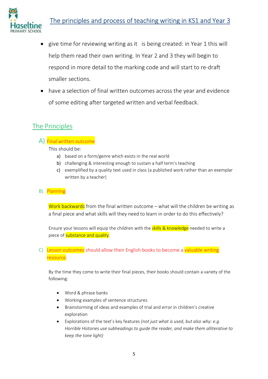

### The principles and process of teaching writing in KS1 and Year 3

- give time for reviewing writing as it is being created: in Year 1 this will help them read their own writing. In Year 2 and 3 they will begin to respond in more detail to the marking code and will start to re-draft smaller sections.
- have a selection of final written outcomes across the year and evidence of some editing after targeted written and verbal feedback.

#### The Principles

A) Final written outcome

This should be:

- a) based on a form/genre which exists in the real world
- b) challenging & interesting enough to sustain a half term's teaching
- c) exemplified by a quality text used in class (a published work rather than an exemplar written by a teacher)
- B) Planning

Work backwards from the final written outcome – what will the children be writing as a final piece and what skills will they need to learn in order to do this effectively?

Ensure your lessons will equip the children with the **skills & knowledge** needed to write a piece of substance and quality.

#### C) Lesson outcomes should allow their English books to become a valuable writing resource.

By the time they come to write their final pieces, their books should contain a variety of the following:

- Word & phrase banks
- Working examples of sentence structures
- Brainstorming of ideas and examples of trial and error in children's creative exploration
- Explorations of the text's key features (not just what is used, but also why: e.g. Horrible Histories use subheadings to guide the reader, and make them alliterative to keep the tone light)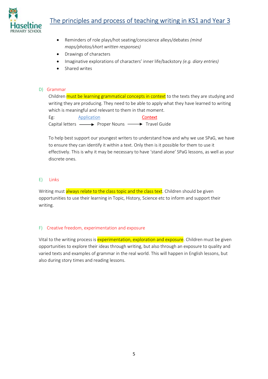

- Reminders of role plays/hot seating/conscience alleys/debates (mind maps/photos/short written responses)
- Drawings of characters
- Imaginative explorations of characters' inner life/backstory (e.g. diary entries)
- Shared writes

#### D) Grammar

Children must be learning grammatical concepts in context to the texts they are studying and writing they are producing. They need to be able to apply what they have learned to writing which is meaningful and relevant to them in that moment.

Eg: Application Context Capital letters  $\longrightarrow$  Proper Nouns  $\longrightarrow$  Travel Guide

To help best support our youngest writers to understand how and why we use SPaG, we have to ensure they can identify it within a text. Only then is it possible for them to use it effectively. This is why it may be necessary to have 'stand alone' SPaG lessons, as well as your discrete ones.

#### E) Links

Writing must always relate to the class topic and the class text. Children should be given opportunities to use their learning in Topic, History, Science etc to inform and support their writing.

#### F) Creative freedom, experimentation and exposure

Vital to the writing process is experimentation, exploration and exposure. Children must be given opportunities to explore their ideas through writing, but also through an exposure to quality and varied texts and examples of grammar in the real world. This will happen in English lessons, but also during story times and reading lessons.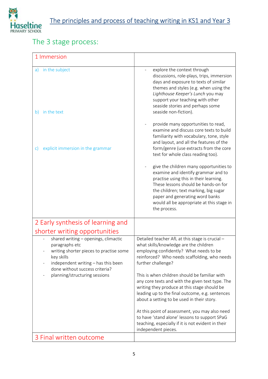

#### The 3 stage process:

| 1 Immersion                                                                                                                                                                                                               |                                                                                                                                                                                                                                                                                                                                                                                                                           |
|---------------------------------------------------------------------------------------------------------------------------------------------------------------------------------------------------------------------------|---------------------------------------------------------------------------------------------------------------------------------------------------------------------------------------------------------------------------------------------------------------------------------------------------------------------------------------------------------------------------------------------------------------------------|
| in the subject<br>a)<br>in the text<br>b)                                                                                                                                                                                 | explore the context through<br>discussions, role-plays, trips, immersion<br>days and exposure to texts of similar<br>themes and styles (e.g. when using the<br>Lighthouse Keeper's Lunch you may<br>support your teaching with other<br>seaside stories and perhaps some<br>seaside non-fiction).                                                                                                                         |
| explicit immersion in the grammar<br>C)                                                                                                                                                                                   | provide many opportunities to read,<br>examine and discuss core texts to build<br>familiarity with vocabulary, tone, style<br>and layout, and all the features of the<br>form/genre (use extracts from the core<br>text for whole class reading too).<br>give the children many opportunities to<br>examine and identify grammar and to<br>practise using this in their learning.<br>These lessons should be hands-on for |
|                                                                                                                                                                                                                           | the children; text marking, big sugar<br>paper and generating word banks<br>would all be appropriate at this stage in<br>the process.                                                                                                                                                                                                                                                                                     |
| 2 Early synthesis of learning and<br>shorter writing opportunities                                                                                                                                                        |                                                                                                                                                                                                                                                                                                                                                                                                                           |
| shared writing - openings, climactic<br>paragraphs etc<br>writing shorter pieces to practise some<br>key skills<br>independent writing - has this been<br>done without success criteria?<br>planning/structuring sessions | Detailed teacher AfL at this stage is crucial -<br>what skills/knowledge are the children<br>employing confidently? What needs to be<br>reinforced? Who needs scaffolding, who needs<br>further challenge?<br>This is when children should be familiar with<br>any core texts and with the given text type. The<br>writing they produce at this stage should be                                                           |
|                                                                                                                                                                                                                           | leading up to the final outcome, e.g. sentences<br>about a setting to be used in their story.                                                                                                                                                                                                                                                                                                                             |
|                                                                                                                                                                                                                           | At this point of assessment, you may also need<br>to have 'stand alone' lessons to support SPaG<br>teaching, especially if it is not evident in their<br>independent pieces.                                                                                                                                                                                                                                              |
| 3 Final written outcome                                                                                                                                                                                                   |                                                                                                                                                                                                                                                                                                                                                                                                                           |